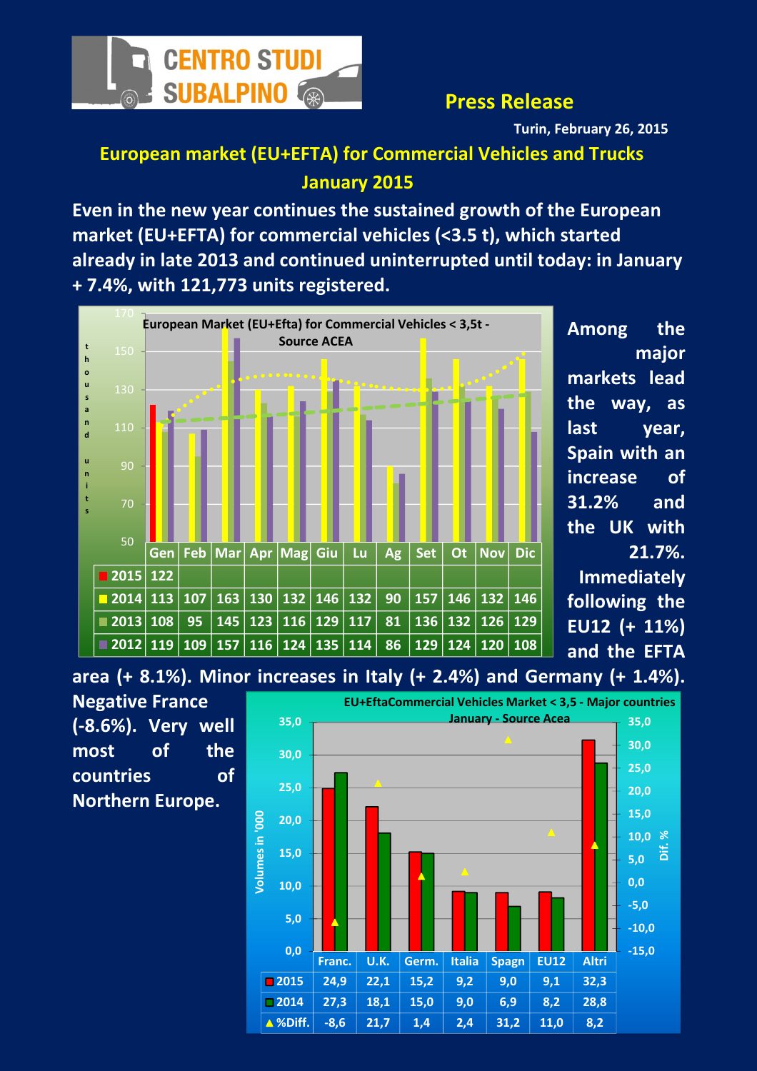

### Press Release

Turin, February 26, 2015

# European market (EU+EFTA) for Commercial Vehicles and Trucks January 2015

Even in the new year continues the sustained growth of the European market (EU+EFTA) for commercial vehicles (<3.5 t), which started already in late 2013 and continued uninterrupted until today: in January + 7.4%, with 121,773 units registered.



Among the major markets lead the way, as last vear. Spain with an increase of 31.2% and the UK with 21.7%. Immediately following the EU12 (+ 11%)

and the EFTA

area (+ 8.1%). Minor increases in Italy (+ 2.4%) and Germany (+ 1.4%).



Negative France (-8.6%). Very well most of the countries of Northern Europe.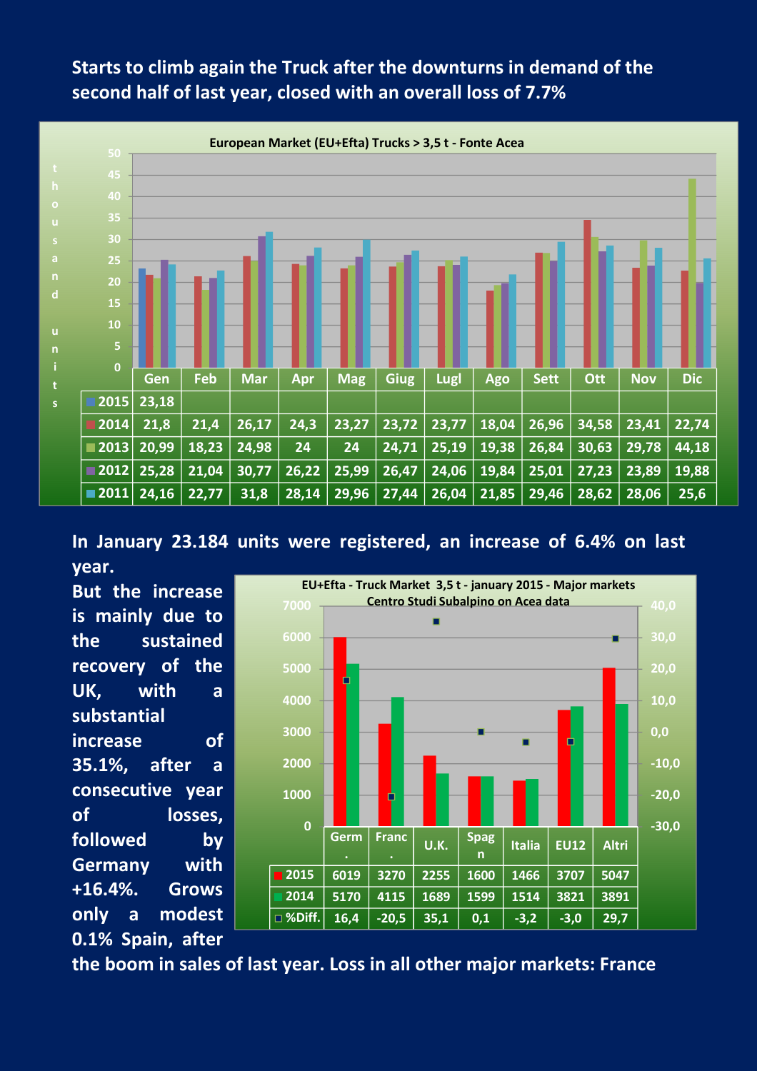## Starts to climb again the Truck after the downturns in demand of the second half of last year, closed with an overall loss of 7.7%



In January 23.184 units were registered, an increase of 6.4% on last year.

But the increase is mainly due to the sustained recovery of the UK, with a substantial increase of 35.1%, after a consecutive year of losses, followed by Germany with +16.4%. Grows only a modest 0.1% Spain, after



the boom in sales of last year. Loss in all other major markets: France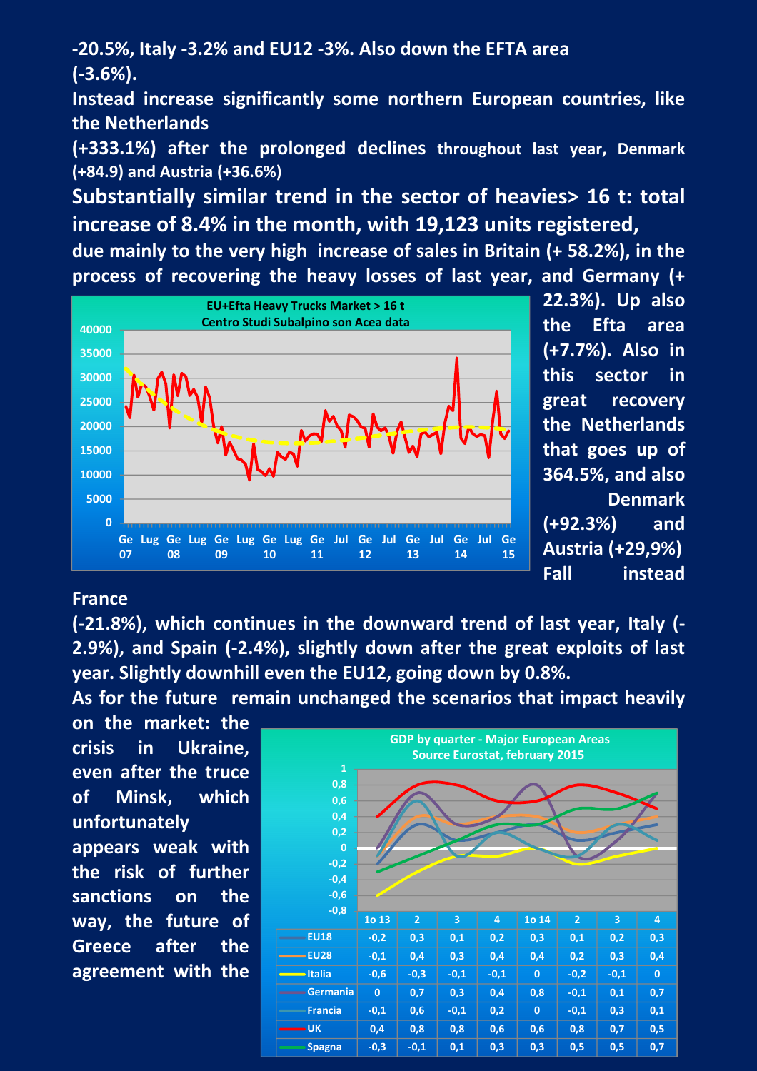-20.5%, Italy -3.2% and EU12 -3%. Also down the EFTA area (-3.6%).

Instead increase significantly some northern European countries, like the Netherlands

(+333.1%) after the prolonged declines throughout last year, Denmark (+84.9) and Austria (+36.6%)

Substantially similar trend in the sector of heavies> 16 t: total increase of 8.4% in the month, with 19,123 units registered,

due mainly to the very high increase of sales in Britain (+ 58.2%), in the process of recovering the heavy losses of last year, and Germany (+



22.3%). Up also the Efta area (+7.7%). Also in this sector in great recovery the Netherlands that goes up of 364.5%, and also Denmark (+92.3%) and Austria (+29,9%) Fall instead

#### France

(-21.8%), which continues in the downward trend of last year, Italy (- 2.9%), and Spain (-2.4%), slightly down after the great exploits of last year. Slightly downhill even the EU12, going down by 0.8%.

As for the future remain unchanged the scenarios that impact heavily

on the market: the crisis in Ukraine, even after the truce of Minsk, which unfortunately appears weak with the risk of further sanctions on the way, the future of Greece after the agreement with the